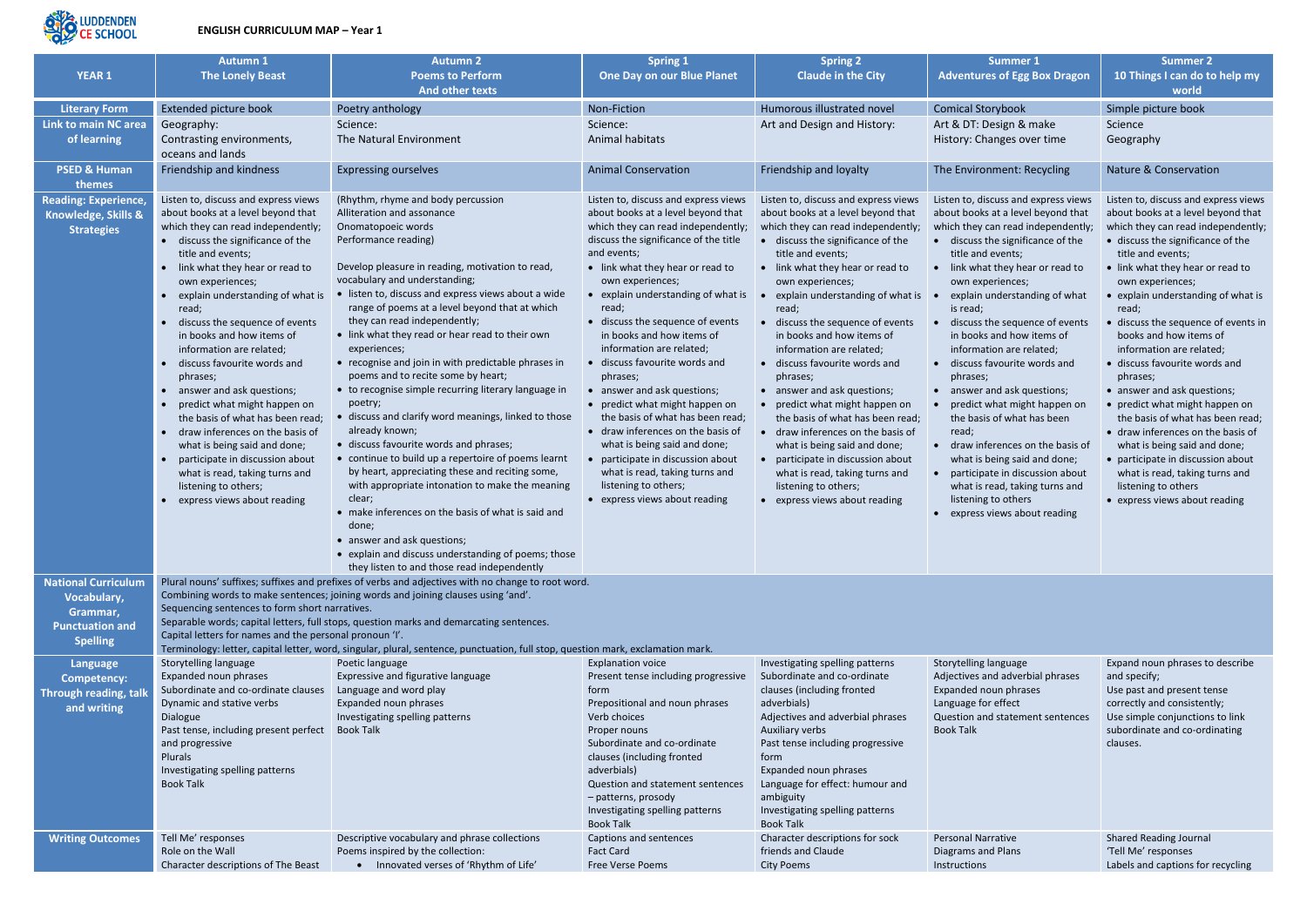

## **ENGLISH CURRICULUM MAP – Year 1**

| <b>YEAR 1</b>                                                                                      | <b>Autumn 1</b><br><b>The Lonely Beast</b>                                                                                                                                                                                                                                                                                                                                                                                                                                                                                         | <b>Autumn 2</b><br><b>Poems to Perform</b>                                                                                                                                                                                                                                                                                                                                                                                                                                                                                                                                      | <b>Spring 1</b><br><b>One Day on our Blue Planet</b>                                                                                                                                                                                                                                                                                                                                                                                                                                   | <b>Spring 2</b><br><b>Claude in the City</b>                                                                                                                                                                                                                                                                                                                                                                                                                                           | <b>Summer 1</b><br><b>Adventures of Egg Box Dragon</b>                                                                                                                                                                                                                                                                                                                                                                                                                                 | <b>Summer 2</b><br>10 Things I can do to help my                                                                                                                                                                                                                                                                                                                                                                                                                                             |  |  |  |
|----------------------------------------------------------------------------------------------------|------------------------------------------------------------------------------------------------------------------------------------------------------------------------------------------------------------------------------------------------------------------------------------------------------------------------------------------------------------------------------------------------------------------------------------------------------------------------------------------------------------------------------------|---------------------------------------------------------------------------------------------------------------------------------------------------------------------------------------------------------------------------------------------------------------------------------------------------------------------------------------------------------------------------------------------------------------------------------------------------------------------------------------------------------------------------------------------------------------------------------|----------------------------------------------------------------------------------------------------------------------------------------------------------------------------------------------------------------------------------------------------------------------------------------------------------------------------------------------------------------------------------------------------------------------------------------------------------------------------------------|----------------------------------------------------------------------------------------------------------------------------------------------------------------------------------------------------------------------------------------------------------------------------------------------------------------------------------------------------------------------------------------------------------------------------------------------------------------------------------------|----------------------------------------------------------------------------------------------------------------------------------------------------------------------------------------------------------------------------------------------------------------------------------------------------------------------------------------------------------------------------------------------------------------------------------------------------------------------------------------|----------------------------------------------------------------------------------------------------------------------------------------------------------------------------------------------------------------------------------------------------------------------------------------------------------------------------------------------------------------------------------------------------------------------------------------------------------------------------------------------|--|--|--|
|                                                                                                    |                                                                                                                                                                                                                                                                                                                                                                                                                                                                                                                                    | <b>And other texts</b>                                                                                                                                                                                                                                                                                                                                                                                                                                                                                                                                                          |                                                                                                                                                                                                                                                                                                                                                                                                                                                                                        |                                                                                                                                                                                                                                                                                                                                                                                                                                                                                        |                                                                                                                                                                                                                                                                                                                                                                                                                                                                                        | world                                                                                                                                                                                                                                                                                                                                                                                                                                                                                        |  |  |  |
| <b>Literary Form</b>                                                                               | Extended picture book                                                                                                                                                                                                                                                                                                                                                                                                                                                                                                              | Poetry anthology                                                                                                                                                                                                                                                                                                                                                                                                                                                                                                                                                                | Non-Fiction                                                                                                                                                                                                                                                                                                                                                                                                                                                                            | Humorous illustrated novel                                                                                                                                                                                                                                                                                                                                                                                                                                                             | <b>Comical Storybook</b>                                                                                                                                                                                                                                                                                                                                                                                                                                                               | Simple picture book                                                                                                                                                                                                                                                                                                                                                                                                                                                                          |  |  |  |
| <b>Link to main NC area</b>                                                                        | Geography:                                                                                                                                                                                                                                                                                                                                                                                                                                                                                                                         | Science:                                                                                                                                                                                                                                                                                                                                                                                                                                                                                                                                                                        | Science:                                                                                                                                                                                                                                                                                                                                                                                                                                                                               | Art and Design and History:                                                                                                                                                                                                                                                                                                                                                                                                                                                            | Art & DT: Design & make                                                                                                                                                                                                                                                                                                                                                                                                                                                                | Science                                                                                                                                                                                                                                                                                                                                                                                                                                                                                      |  |  |  |
| of learning                                                                                        | Contrasting environments,<br>oceans and lands                                                                                                                                                                                                                                                                                                                                                                                                                                                                                      | The Natural Environment                                                                                                                                                                                                                                                                                                                                                                                                                                                                                                                                                         | Animal habitats                                                                                                                                                                                                                                                                                                                                                                                                                                                                        |                                                                                                                                                                                                                                                                                                                                                                                                                                                                                        | History: Changes over time                                                                                                                                                                                                                                                                                                                                                                                                                                                             | Geography                                                                                                                                                                                                                                                                                                                                                                                                                                                                                    |  |  |  |
| <b>PSED &amp; Human</b><br>themes                                                                  | Friendship and kindness                                                                                                                                                                                                                                                                                                                                                                                                                                                                                                            | <b>Expressing ourselves</b>                                                                                                                                                                                                                                                                                                                                                                                                                                                                                                                                                     | <b>Animal Conservation</b>                                                                                                                                                                                                                                                                                                                                                                                                                                                             | Friendship and loyalty                                                                                                                                                                                                                                                                                                                                                                                                                                                                 | The Environment: Recycling                                                                                                                                                                                                                                                                                                                                                                                                                                                             | Nature & Conservation                                                                                                                                                                                                                                                                                                                                                                                                                                                                        |  |  |  |
| <b>Reading: Experience,</b><br>Knowledge, Skills &<br><b>Strategies</b>                            | Listen to, discuss and express views<br>about books at a level beyond that<br>which they can read independently;<br>• discuss the significance of the<br>title and events;<br>link what they hear or read to<br>own experiences;<br>explain understanding of what is<br>read;<br>discuss the sequence of events<br>in books and how items of<br>information are related;<br>discuss favourite words and<br>phrases;<br>answer and ask questions;<br>predict what might happen on                                                   | (Rhythm, rhyme and body percussion<br>Alliteration and assonance<br>Onomatopoeic words<br>Performance reading)<br>Develop pleasure in reading, motivation to read,<br>vocabulary and understanding;<br>• listen to, discuss and express views about a wide<br>range of poems at a level beyond that at which<br>they can read independently;<br>• link what they read or hear read to their own<br>experiences;<br>• recognise and join in with predictable phrases in<br>poems and to recite some by heart;<br>• to recognise simple recurring literary language in<br>poetry; | Listen to, discuss and express views<br>about books at a level beyond that<br>which they can read independently;<br>discuss the significance of the title<br>and events;<br>• link what they hear or read to<br>own experiences;<br>• explain understanding of what is<br>read;<br>• discuss the sequence of events<br>in books and how items of<br>information are related;<br>• discuss favourite words and<br>phrases;<br>answer and ask questions;<br>predict what might happen on | Listen to, discuss and express views<br>about books at a level beyond that<br>which they can read independently;<br>discuss the significance of the<br>title and events;<br>• link what they hear or read to<br>own experiences;<br>explain understanding of what is<br>read;<br>discuss the sequence of events<br>in books and how items of<br>information are related;<br>• discuss favourite words and<br>phrases;<br>• answer and ask questions;<br>• predict what might happen on | Listen to, discuss and express views<br>about books at a level beyond that<br>which they can read independently;<br>• discuss the significance of the<br>title and events;<br>• link what they hear or read to<br>own experiences;<br>explain understanding of what<br>is read;<br>discuss the sequence of events<br>in books and how items of<br>information are related;<br>• discuss favourite words and<br>phrases;<br>• answer and ask questions;<br>predict what might happen on | Listen to, discuss and express views<br>about books at a level beyond that<br>which they can read independently;<br>• discuss the significance of the<br>title and events;<br>• link what they hear or read to<br>own experiences;<br>• explain understanding of what is<br>read;<br>• discuss the sequence of events in<br>books and how items of<br>information are related;<br>• discuss favourite words and<br>phrases;<br>• answer and ask questions;<br>• predict what might happen on |  |  |  |
|                                                                                                    | the basis of what has been read;<br>draw inferences on the basis of<br>what is being said and done;<br>participate in discussion about<br>what is read, taking turns and<br>listening to others;<br>express views about reading                                                                                                                                                                                                                                                                                                    | discuss and clarify word meanings, linked to those<br>already known;<br>· discuss favourite words and phrases;<br>• continue to build up a repertoire of poems learnt<br>by heart, appreciating these and reciting some,<br>with appropriate intonation to make the meaning<br>clear;<br>• make inferences on the basis of what is said and<br>done;<br>• answer and ask questions;<br>• explain and discuss understanding of poems; those<br>they listen to and those read independently                                                                                       | the basis of what has been read;<br>• draw inferences on the basis of<br>what is being said and done;<br>participate in discussion about<br>what is read, taking turns and<br>listening to others;<br>• express views about reading                                                                                                                                                                                                                                                    | the basis of what has been read;<br>draw inferences on the basis of<br>what is being said and done;<br>participate in discussion about<br>what is read, taking turns and<br>listening to others;<br>• express views about reading                                                                                                                                                                                                                                                      | the basis of what has been<br>read;<br>• draw inferences on the basis of<br>what is being said and done;<br>participate in discussion about<br>$\bullet$<br>what is read, taking turns and<br>listening to others<br>• express views about reading                                                                                                                                                                                                                                     | the basis of what has been read;<br>• draw inferences on the basis of<br>what is being said and done;<br>• participate in discussion about<br>what is read, taking turns and<br>listening to others<br>• express views about reading                                                                                                                                                                                                                                                         |  |  |  |
| <b>National Curriculum</b><br>Vocabulary,<br>Grammar,<br><b>Punctuation and</b><br><b>Spelling</b> | Plural nouns' suffixes; suffixes and prefixes of verbs and adjectives with no change to root word.<br>Combining words to make sentences; joining words and joining clauses using 'and'.<br>Sequencing sentences to form short narratives.<br>Separable words; capital letters, full stops, question marks and demarcating sentences.<br>Capital letters for names and the personal pronoun 'I'.<br>Terminology: letter, capital letter, word, singular, plural, sentence, punctuation, full stop, question mark, exclamation mark. |                                                                                                                                                                                                                                                                                                                                                                                                                                                                                                                                                                                 |                                                                                                                                                                                                                                                                                                                                                                                                                                                                                        |                                                                                                                                                                                                                                                                                                                                                                                                                                                                                        |                                                                                                                                                                                                                                                                                                                                                                                                                                                                                        |                                                                                                                                                                                                                                                                                                                                                                                                                                                                                              |  |  |  |
| Language                                                                                           | Storytelling language                                                                                                                                                                                                                                                                                                                                                                                                                                                                                                              | Poetic language                                                                                                                                                                                                                                                                                                                                                                                                                                                                                                                                                                 | <b>Explanation voice</b>                                                                                                                                                                                                                                                                                                                                                                                                                                                               | Investigating spelling patterns                                                                                                                                                                                                                                                                                                                                                                                                                                                        | Storytelling language                                                                                                                                                                                                                                                                                                                                                                                                                                                                  | Expand noun phrases to describe                                                                                                                                                                                                                                                                                                                                                                                                                                                              |  |  |  |
| <b>Competency:</b><br><b>Through reading, talk</b><br>and writing                                  | Expanded noun phrases<br>Subordinate and co-ordinate clauses<br>Dynamic and stative verbs<br>Dialogue<br>Past tense, including present perfect<br>and progressive<br>Plurals<br>Investigating spelling patterns<br><b>Book Talk</b>                                                                                                                                                                                                                                                                                                | Expressive and figurative language<br>Language and word play<br>Expanded noun phrases<br>Investigating spelling patterns<br><b>Book Talk</b>                                                                                                                                                                                                                                                                                                                                                                                                                                    | Present tense including progressive<br>form<br>Prepositional and noun phrases<br>Verb choices<br>Proper nouns<br>Subordinate and co-ordinate<br>clauses (including fronted<br>adverbials)<br>Question and statement sentences<br>- patterns, prosody<br>Investigating spelling patterns<br><b>Book Talk</b>                                                                                                                                                                            | Subordinate and co-ordinate<br>clauses (including fronted<br>adverbials)<br>Adjectives and adverbial phrases<br>Auxiliary verbs<br>Past tense including progressive<br>form<br>Expanded noun phrases<br>Language for effect: humour and<br>ambiguity<br>Investigating spelling patterns<br><b>Book Talk</b>                                                                                                                                                                            | Adjectives and adverbial phrases<br>Expanded noun phrases<br>Language for effect<br>Question and statement sentences<br><b>Book Talk</b>                                                                                                                                                                                                                                                                                                                                               | and specify;<br>Use past and present tense<br>correctly and consistently;<br>Use simple conjunctions to link<br>subordinate and co-ordinating<br>clauses.                                                                                                                                                                                                                                                                                                                                    |  |  |  |
| <b>Writing Outcomes</b>                                                                            | Tell Me' responses<br>Role on the Wall<br>Character descriptions of The Beast                                                                                                                                                                                                                                                                                                                                                                                                                                                      | Descriptive vocabulary and phrase collections<br>Poems inspired by the collection:<br>• Innovated verses of 'Rhythm of Life'                                                                                                                                                                                                                                                                                                                                                                                                                                                    | Captions and sentences<br><b>Fact Card</b><br>Free Verse Poems                                                                                                                                                                                                                                                                                                                                                                                                                         | Character descriptions for sock<br>friends and Claude<br><b>City Poems</b>                                                                                                                                                                                                                                                                                                                                                                                                             | <b>Personal Narrative</b><br>Diagrams and Plans<br>Instructions                                                                                                                                                                                                                                                                                                                                                                                                                        | <b>Shared Reading Journal</b><br>'Tell Me' responses<br>Labels and captions for recycling                                                                                                                                                                                                                                                                                                                                                                                                    |  |  |  |